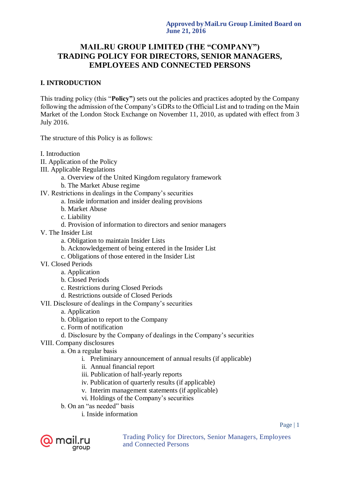# **MAIL.RU GROUP LIMITED (THE "COMPANY") TRADING POLICY FOR DIRECTORS, SENIOR MANAGERS, EMPLOYEES AND CONNECTED PERSONS**

# **I. INTRODUCTION**

This trading policy (this "**Policy"**) sets out the policies and practices adopted by the Company following the admission of the Company's GDRs to the Official List and to trading on the Main Market of the London Stock Exchange on November 11, 2010, as updated with effect from 3 July 2016.

The structure of this Policy is as follows:

- I. Introduction
- II. Application of the Policy
- III. Applicable Regulations
	- a. Overview of the United Kingdom regulatory framework
	- b. The Market Abuse regime
- IV. Restrictions in dealings in the Company's securities
	- a. Inside information and insider dealing provisions
	- b. Market Abuse
	- c. Liability
	- d. Provision of information to directors and senior managers
- V. The Insider List
	- a. Obligation to maintain Insider Lists
	- b. Acknowledgement of being entered in the Insider List
	- c. Obligations of those entered in the Insider List
- VI. Closed Periods
	- a. Application
	- b. Closed Periods
	- c. Restrictions during Closed Periods
	- d. Restrictions outside of Closed Periods
- VII. Disclosure of dealings in the Company's securities
	- a. Application
	- b. Obligation to report to the Company
	- c. Form of notification
	- d. Disclosure by the Company of dealings in the Company's securities
- VIII. Company disclosures
	- а. On a regular basis
		- i. Preliminary announcement of annual results (if applicable)
		- ii. Annual financial report
		- iii. Publication of half-yearly reports
		- iv. Publication of quarterly results (if applicable)
		- v. Interim management statements (if applicable)
		- vi. Holdings of the Company's securities
	- b. On an "as needed" basis
		- i. Inside information

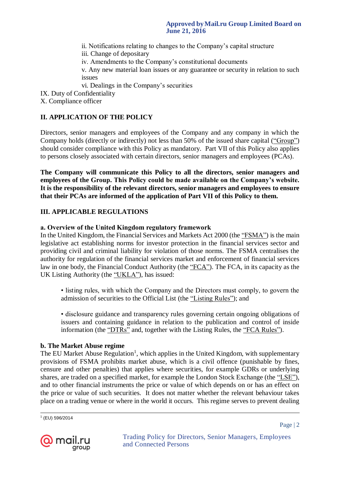ii. Notifications relating to changes to the Company's capital structure

iii. Change of depositary

iv. Amendments to the Company's constitutional documents

v. Any new material loan issues or any guarantee or security in relation to such issues

vi. Dealings in the Company's securities

IX. Duty of Confidentiality

X. Compliance officer

# **II. APPLICATION OF THE POLICY**

Directors, senior managers and employees of the Company and any company in which the Company holds (directly or indirectly) not less than 50% of the issued share capital ("Group") should consider compliance with this Policy as mandatory. Part VII of this Policy also applies to persons closely associated with certain directors, senior managers and employees (PCAs).

**The Company will communicate this Policy to all the directors, senior managers and employees of the Group. This Policy could be made available on the Company's website. It is the responsibility of the relevant directors, senior managers and employees to ensure that their PCAs are informed of the application of Part VII of this Policy to them.**

# **III. APPLICABLE REGULATIONS**

# **а. Overview of the United Kingdom regulatory framework**

In the United Kingdom, the Financial Services and Markets Act 2000 (the "FSMA") is the main legislative act establishing norms for investor protection in the financial services sector and providing civil and criminal liability for violation of those norms. The FSMA centralises the authority for regulation of the financial services market and enforcement of financial services law in one body, the Financial Conduct Authority (the "FCA"). The FCA, in its capacity as the UK Listing Authority (the "UKLA"), has issued:

• listing rules, with which the Company and the Directors must comply, to govern the admission of securities to the Official List (the "Listing Rules"); and

• disclosure guidance and transparency rules governing certain ongoing obligations of issuers and containing guidance in relation to the publication and control of inside information (the "DTRs" and, together with the Listing Rules, the "FCA Rules").

# **b. The Market Abuse regime**

The EU Market Abuse Regulation<sup>1</sup>, which applies in the United Kingdom, with supplementary provisions of FSMA prohibits market abuse, which is a civil offence (punishable by fines, censure and other penalties) that applies where securities, for example GDRs or underlying shares, are traded on a specified market, for example the London Stock Exchange (the "LSE"), and to other financial instruments the price or value of which depends on or has an effect on the price or value of such securities. It does not matter whether the relevant behaviour takes place on a trading venue or where in the world it occurs. This regime serves to prevent dealing

1 (EU) 596/2014

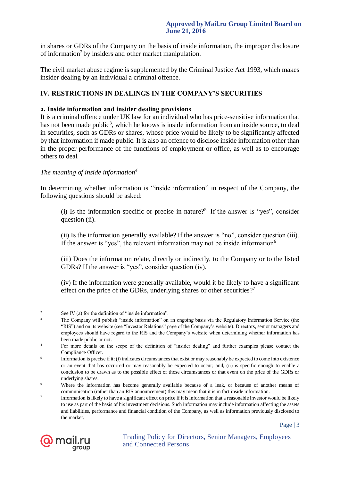in shares or GDRs of the Company on the basis of inside information, the improper disclosure of information<sup>2</sup> by insiders and other market manipulation.

The civil market abuse regime is supplemented by the Criminal Justice Act 1993, which makes insider dealing by an individual a criminal offence.

#### **IV. RESTRICTIONS IN DEALINGS IN THE COMPANY'S SECURITIES**

#### **а. Inside information and insider dealing provisions**

It is a criminal offence under UK law for an individual who has price-sensitive information that has not been made public<sup>3</sup>, which he knows is inside information from an inside source, to deal in securities, such as GDRs or shares, whose price would be likely to be significantly affected by that information if made public. It is also an offence to disclose inside information other than in the proper performance of the functions of employment or office, as well as to encourage others to deal.

### *The meaning of inside information<sup>4</sup>*

In determining whether information is "inside information" in respect of the Company, the following questions should be asked:

(i) Is the information specific or precise in nature?<sup>5</sup> If the answer is "yes", consider question (ii).

(ii) Is the information generally available? If the answer is "no", consider question (iii). If the answer is "yes", the relevant information may not be inside information $6$ .

(iii) Does the information relate, directly or indirectly, to the Company or to the listed GDRs? If the answer is "yes", consider question (iv).

(iv) If the information were generally available, would it be likely to have a significant effect on the price of the GDRs, underlying shares or other securities?<sup>7</sup>

<sup>7</sup> Information is likely to have a significant effect on price if it is information that a reasonable investor would be likely to use as part of the basis of his investment decisions. Such information may include information affecting the assets and liabilities, performance and financial condition of the Company, as well as information previously disclosed to the market.



 $\overline{a}$ 

Page | 3

<sup>&</sup>lt;sup>2</sup> See IV (a) for the definition of "inside information".

<sup>&</sup>lt;sup>3</sup> The Company will publish "inside information" on an ongoing basis via the Regulatory Information Service (the "RIS") and on its website (see "Investor Relations" page of the Company's website). Directors, senior managers and employees should have regard to the RIS and the Company's website when determining whether information has been made public or not.

<sup>&</sup>lt;sup>4</sup> For more details on the scope of the definition of "insider dealing" and further examples please contact the Compliance Officer.

<sup>5</sup> Information is precise if it: (i) indicates circumstances that exist or may reasonably be expected to come into existence or an event that has occurred or may reasonably be expected to occur; and, (ii) is specific enough to enable a conclusion to be drawn as to the possible effect of those circumstances or that event on the price of the GDRs or underlying shares.

<sup>&</sup>lt;sup>6</sup> Where the information has become generally available because of a leak, or because of another means of communication (rather than an RIS announcement) this may mean that it is in fact inside information.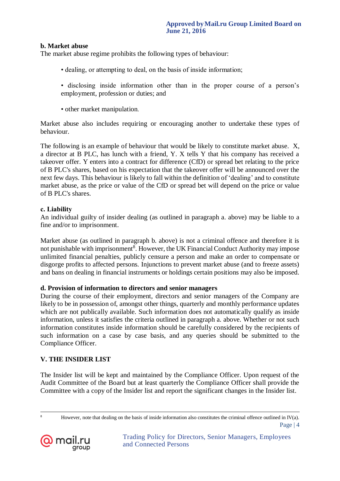#### **b. Market abuse**

The market abuse regime prohibits the following types of behaviour:

- dealing, or attempting to deal, on the basis of inside information;
- disclosing inside information other than in the proper course of a person's employment, profession or duties; and
- other market manipulation.

Market abuse also includes requiring or encouraging another to undertake these types of behaviour.

The following is an example of behaviour that would be likely to constitute market abuse. X, a director at B PLC, has lunch with a friend, Y. X tells Y that his company has received a takeover offer. Y enters into a contract for difference (CfD) or spread bet relating to the price of B PLC's shares, based on his expectation that the takeover offer will be announced over the next few days. This behaviour is likely to fall within the definition of 'dealing' and to constitute market abuse, as the price or value of the CfD or spread bet will depend on the price or value of B PLC's shares.

### **с. Liability**

An individual guilty of insider dealing (as outlined in paragraph a. above) may be liable to a fine and/or to imprisonment.

Market abuse (as outlined in paragraph b. above) is not a criminal offence and therefore it is not punishable with imprisonment<sup>8</sup>. However, the UK Financial Conduct Authority may impose unlimited financial penalties, publicly censure a person and make an order to compensate or disgorge profits to affected persons. Injunctions to prevent market abuse (and to freeze assets) and bans on dealing in financial instruments or holdings certain positions may also be imposed.

#### **d. Provision of information to directors and senior managers**

During the course of their employment, directors and senior managers of the Company are likely to be in possession of, amongst other things, quarterly and monthly performance updates which are not publically available. Such information does not automatically qualify as inside information, unless it satisfies the criteria outlined in paragraph a. above. Whether or not such information constitutes inside information should be carefully considered by the recipients of such information on a case by case basis, and any queries should be submitted to the Compliance Officer.

# **V. THE INSIDER LIST**

The Insider list will be kept and maintained by the Compliance Officer. Upon request of the Audit Committee of the Board but at least quarterly the Compliance Officer shall provide the Committee with a copy of the Insider list and report the significant changes in the Insider list.

 $\overline{a}$ 

Page | 4 <sup>8</sup> However, note that dealing on the basis of inside information also constitutes the criminal offence outlined in IV(a).

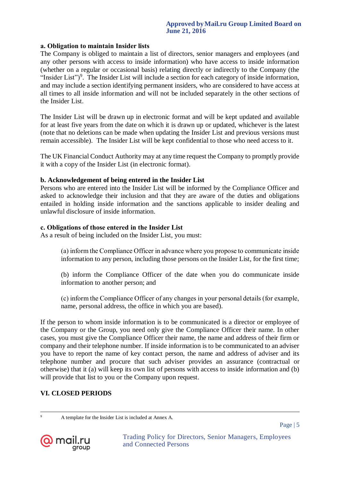#### **а. Obligation to maintain Insider lists**

The Company is obliged to maintain a list of directors, senior managers and employees (and any other persons with access to inside information) who have access to inside information (whether on a regular or occasional basis) relating directly or indirectly to the Company (the "Insider List")<sup>9</sup>. The Insider List will include a section for each category of inside information, and may include a section identifying permanent insiders, who are considered to have access at all times to all inside information and will not be included separately in the other sections of the Insider List.

The Insider List will be drawn up in electronic format and will be kept updated and available for at least five years from the date on which it is drawn up or updated, whichever is the latest (note that no deletions can be made when updating the Insider List and previous versions must remain accessible). The Insider List will be kept confidential to those who need access to it.

The UK Financial Conduct Authority may at any time request the Company to promptly provide it with a copy of the Insider List (in electronic format).

#### **b. Acknowledgement of being entered in the Insider List**

Persons who are entered into the Insider List will be informed by the Compliance Officer and asked to acknowledge their inclusion and that they are aware of the duties and obligations entailed in holding inside information and the sanctions applicable to insider dealing and unlawful disclosure of inside information.

#### **с. Obligations of those entered in the Insider List**

As a result of being included on the Insider List, you must:

(а) inform the Compliance Officer in advance where you propose to communicate inside information to any person, including those persons on the Insider List, for the first time;

(b) inform the Compliance Officer of the date when you do communicate inside information to another person; and

(с) inform the Compliance Officer of any changes in your personal details (for example, name, personal address, the office in which you are based).

If the person to whom inside information is to be communicated is a director or employee of the Company or the Group, you need only give the Compliance Officer their name. In other cases, you must give the Compliance Officer their name, the name and address of their firm or company and their telephone number. If inside information is to be communicated to an adviser you have to report the name of key contact person, the name and address of adviser and its telephone number and procure that such adviser provides an assurance (contractual or otherwise) that it (a) will keep its own list of persons with access to inside information and (b) will provide that list to you or the Company upon request.

#### **VI. CLOSED PERIODS**



 $\overline{a}$ 

<sup>9</sup> A template for the Insider List is included at Annex A.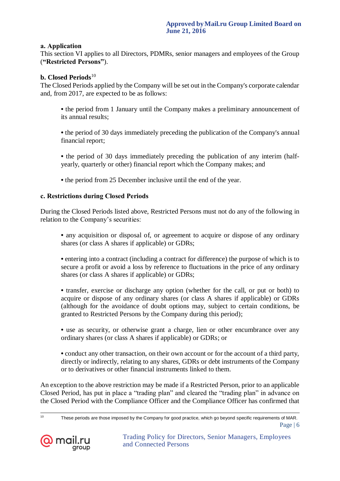#### **а. Application**

This section VI applies to all Directors, PDMRs, senior managers and employees of the Group (**"Restricted Persons"**).

#### **b. Closed Periods**<sup>10</sup>

The Closed Periods applied by the Company will be set out in the Company's corporate calendar and, from 2017, are expected to be as follows:

**•** the period from 1 January until the Company makes a preliminary announcement of its annual results;

**•** the period of 30 days immediately preceding the publication of the Company's annual financial report;

**•** the period of 30 days immediately preceding the publication of any interim (halfyearly, quarterly or other) financial report which the Company makes; and

**•** the period from 25 December inclusive until the end of the year.

### **с. Restrictions during Closed Periods**

During the Closed Periods listed above, Restricted Persons must not do any of the following in relation to the Company's securities:

• any acquisition or disposal of, or agreement to acquire or dispose of any ordinary shares (or class A shares if applicable) or GDRs;

**•** entering into a contract (including a contract for difference) the purpose of which is to secure a profit or avoid a loss by reference to fluctuations in the price of any ordinary shares (or class A shares if applicable) or GDRs;

**•** transfer, exercise or discharge any option (whether for the call, or put or both) to acquire or dispose of any ordinary shares (or class A shares if applicable) or GDRs (although for the avoidance of doubt options may, subject to certain conditions, be granted to Restricted Persons by the Company during this period);

**•** use as security, or otherwise grant a charge, lien or other encumbrance over any ordinary shares (or class A shares if applicable) or GDRs; or

**•** conduct any other transaction, on their own account or for the account of a third party, directly or indirectly, relating to any shares, GDRs or debt instruments of the Company or to derivatives or other financial instruments linked to them.

An exception to the above restriction may be made if a Restricted Person, prior to an applicable Closed Period, has put in place a "trading plan" and cleared the "trading plan" in advance on the Closed Period with the Compliance Officer and the Compliance Officer has confirmed that

Page | 6  $10$ These periods are those imposed by the Company for good practice, which go beyond specific requirements of MAR.

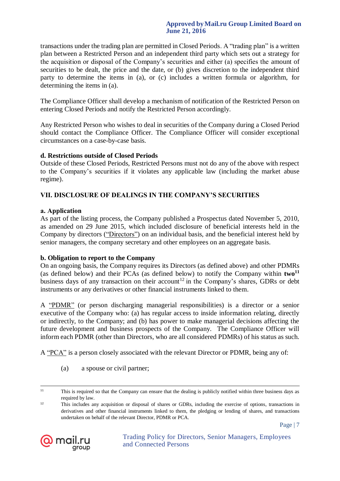#### **Approved byMail.ru Group Limited Board on June 21, 2016**

transactions under the trading plan are permitted in Closed Periods. A "trading plan" is a written plan between a Restricted Person and an independent third party which sets out a strategy for the acquisition or disposal of the Company's securities and either (a) specifies the amount of securities to be dealt, the price and the date, or (b) gives discretion to the independent third party to determine the items in (a), or (c) includes a written formula or algorithm, for determining the items in (a).

The Compliance Officer shall develop a mechanism of notification of the Restricted Person on entering Closed Periods and notify the Restricted Person accordingly.

Any Restricted Person who wishes to deal in securities of the Company during a Closed Period should contact the Compliance Officer. The Compliance Officer will consider exceptional circumstances on a case-by-case basis.

### **d. Restrictions outside of Closed Periods**

Outside of these Closed Periods, Restricted Persons must not do any of the above with respect to the Company's securities if it violates any applicable law (including the market abuse regime).

# **VII. DISCLOSURE OF DEALINGS IN THE COMPANY'S SECURITIES**

### **а. Application**

As part of the listing process, the Company published a Prospectus dated November 5, 2010, as amended on 29 June 2015, which included disclosure of beneficial interests held in the Company by directors ("Directors") on an individual basis, and the beneficial interest held by senior managers, the company secretary and other employees on an aggregate basis.

### **b. Obligation to report to the Company**

On an ongoing basis, the Company requires its Directors (as defined above) and other PDMRs (as defined below) and their PCAs (as defined below) to notify the Company within  $two<sup>11</sup>$ business days of any transaction on their account<sup>12</sup> in the Company's shares, GDRs or debt instruments or any derivatives or other financial instruments linked to them.

A "PDMR" (or person discharging managerial responsibilities) is a director or a senior executive of the Company who: (a) has regular access to inside information relating, directly or indirectly, to the Company; and (b) has power to make managerial decisions affecting the future development and business prospects of the Company. The Compliance Officer will inform each PDMR (other than Directors, who are all considered PDMRs) of his status as such.

A "PCA" is a person closely associated with the relevant Director or PDMR, being any of:

(a) a spouse or civil partner;



 $11$ <sup>11</sup> This is required so that the Company can ensure that the dealing is publicly notified within three business days as required by law.

<sup>12</sup> This includes any acquisition or disposal of shares or GDRs, including the exercise of options, transactions in derivatives and other financial instruments linked to them, the pledging or lending of shares, and transactions undertaken on behalf of the relevant Director, PDMR or PCA.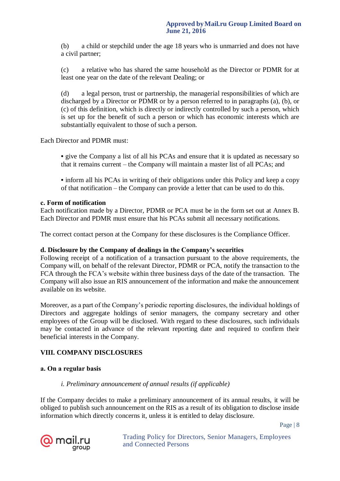(b) a child or stepchild under the age 18 years who is unmarried and does not have a civil partner;

(c) a relative who has shared the same household as the Director or PDMR for at least one year on the date of the relevant Dealing; or

(d) a legal person, trust or partnership, the managerial responsibilities of which are discharged by a Director or PDMR or by a person referred to in paragraphs (a), (b), or (c) of this definition, which is directly or indirectly controlled by such a person, which is set up for the benefit of such a person or which has economic interests which are substantially equivalent to those of such a person.

Each Director and PDMR must:

**•** give the Company a list of all his PCAs and ensure that it is updated as necessary so that it remains current – the Company will maintain a master list of all PCAs; and

• inform all his PCAs in writing of their obligations under this Policy and keep a copy of that notification – the Company can provide a letter that can be used to do this.

#### **с. Form of notification**

Each notification made by a Director, PDMR or PCA must be in the form set out at Annex B. Each Director and PDMR must ensure that his PCAs submit all necessary notifications.

The correct contact person at the Company for these disclosures is the Compliance Officer.

#### **d. Disclosure by the Company of dealings in the Company's securities**

Following receipt of a notification of a transaction pursuant to the above requirements, the Company will, on behalf of the relevant Director, PDMR or PCA, notify the transaction to the FCA through the FCA's website within three business days of the date of the transaction. The Company will also issue an RIS announcement of the information and make the announcement available on its website.

Moreover, as a part of the Company's periodic reporting disclosures, the individual holdings of Directors and aggregate holdings of senior managers, the company secretary and other employees of the Group will be disclosed. With regard to these disclosures, such individuals may be contacted in advance of the relevant reporting date and required to confirm their beneficial interests in the Company.

#### **VIII. COMPANY DISCLOSURES**

#### **а. On a regular basis**

# *i. Preliminary announcement of annual results (if applicable)*

If the Company decides to make a preliminary announcement of its annual results, it will be obliged to publish such announcement on the RIS as a result of its obligation to disclose inside information which directly concerns it, unless it is entitled to delay disclosure.

Page | 8

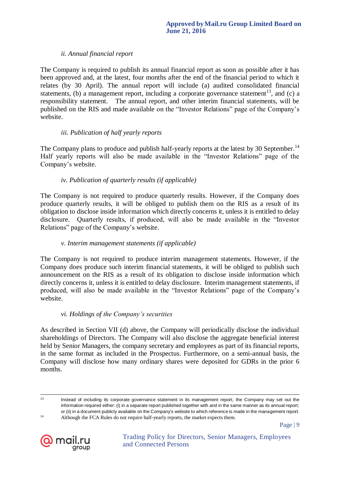# *ii. Annual financial report*

The Company is required to publish its annual financial report as soon as possible after it has been approved and, at the latest, four months after the end of the financial period to which it relates (by 30 April). The annual report will include (a) audited consolidated financial statements, (b) a management report, including a corporate governance statement<sup>13</sup>, and (c) a responsibility statement. The annual report, and other interim financial statements, will be published on the RIS and made available on the "Investor Relations" page of the Company's website.

#### *iii. Publication of half yearly reports*

The Company plans to produce and publish half-yearly reports at the latest by 30 September.<sup>14</sup> Half yearly reports will also be made available in the "Investor Relations" page of the Company's website.

### *iv. Publication of quarterly results (if applicable)*

The Company is not required to produce quarterly results. However, if the Company does produce quarterly results, it will be obliged to publish them on the RIS as a result of its obligation to disclose inside information which directly concerns it, unless it is entitled to delay disclosure. Quarterly results, if produced, will also be made available in the "Investor Relations" page of the Company's website.

# *v. Interim management statements (if applicable)*

The Company is not required to produce interim management statements. However, if the Company does produce such interim financial statements, it will be obliged to publish such announcement on the RIS as a result of its obligation to disclose inside information which directly concerns it, unless it is entitled to delay disclosure. Interim management statements, if produced, will also be made available in the "Investor Relations" page of the Company's website.

#### *vi. Holdings of the Company's securities*

As described in Section VII (d) above, the Company will periodically disclose the individual shareholdings of Directors. The Company will also disclose the aggregate beneficial interest held by Senior Managers, the company secretary and employees as part of its financial reports, in the same format as included in the Prospectus. Furthermore, on a semi-annual basis, the Company will disclose how many ordinary shares were deposited for GDRs in the prior 6 months.



 $13 \frac{1}{2}$ Instead of including its corporate governance statement in its management report, the Company may set out the information required either: (i) in a separate report published together with and in the same manner as its annual report; or (ii) in a document publicly available on the Company's website to which reference is made in the management report. <sup>14</sup> Although the FCA Rules do not require half-yearly reports, the market expects them.

Page | 9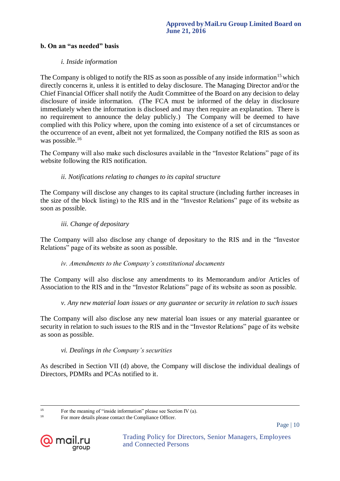#### **b. On an "as needed" basis**

#### *i. Inside information*

The Company is obliged to notify the RIS as soon as possible of any inside information<sup>15</sup> which directly concerns it, unless it is entitled to delay disclosure. The Managing Director and/or the Chief Financial Officer shall notify the Audit Committee of the Board on any decision to delay disclosure of inside information. (The FCA must be informed of the delay in disclosure immediately when the information is disclosed and may then require an explanation. There is no requirement to announce the delay publicly.) The Company will be deemed to have complied with this Policy where, upon the coming into existence of a set of circumstances or the occurrence of an event, albeit not yet formalized, the Company notified the RIS as soon as was possible.<sup>16</sup>

The Company will also make such disclosures available in the "Investor Relations" page of its website following the RIS notification.

#### *ii. Notifications relating to changes to its capital structure*

The Company will disclose any changes to its capital structure (including further increases in the size of the block listing) to the RIS and in the "Investor Relations" page of its website as soon as possible.

#### *iii. Change of depositary*

The Company will also disclose any change of depositary to the RIS and in the "Investor Relations" page of its website as soon as possible.

#### *iv. Amendments to the Company's constitutional documents*

The Company will also disclose any amendments to its Memorandum and/or Articles of Association to the RIS and in the "Investor Relations" page of its website as soon as possible.

#### *v. Any new material loan issues or any guarantee or security in relation to such issues*

The Company will also disclose any new material loan issues or any material guarantee or security in relation to such issues to the RIS and in the "Investor Relations" page of its website as soon as possible.

#### *vi. Dealings in the Company's securities*

As described in Section VII (d) above, the Company will disclose the individual dealings of Directors, PDMRs and PCAs notified to it.

Page | 10



 $15<sup>15</sup>$ <sup>15</sup> For the meaning of "inside information" please see Section IV (a).

<sup>16</sup> For more details please contact the Compliance Officer.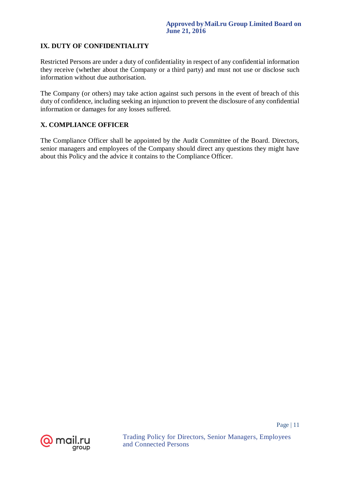# **IX. DUTY OF CONFIDENTIALITY**

Restricted Persons are under a duty of confidentiality in respect of any confidential information they receive (whether about the Company or a third party) and must not use or disclose such information without due authorisation.

The Company (or others) may take action against such persons in the event of breach of this duty of confidence, including seeking an injunction to prevent the disclosure of any confidential information or damages for any losses suffered.

# **X. COMPLIANCE OFFICER**

The Compliance Officer shall be appointed by the Audit Committee of the Board. Directors, senior managers and employees of the Company should direct any questions they might have about this Policy and the advice it contains to the Compliance Officer.

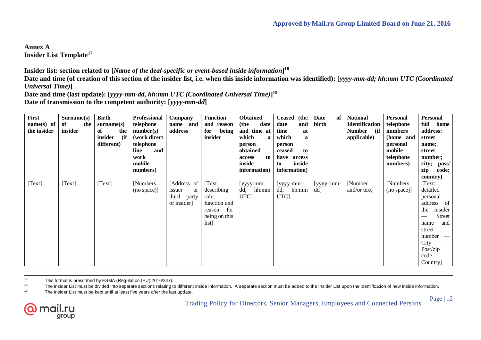**Annex A Insider List Template<sup>17</sup>**

**Insider list: section related to [***Name of the deal-specific or event-based inside information***] 18**

**Date and time (of creation of this section of the insider list, i.e. when this inside information was identified): [***yyyy-mm-dd; hh:mm UTC (Coordinated Universal Time)***]**

**Date and time (last update): [***yyyy-mm-dd, hh:mm UTC (Coordinated Universal Time)***] 19 Date of transmission to the competent authority: [***yyyy-mm-dd***]**

| <b>First</b> | Surname(s) | <b>Birth</b>          | Professional  | Company      | <b>Function</b> | <b>Obtained</b>      | <b>Ceased</b><br>(the | <b>Date</b><br>of | <b>National</b>       | <b>Personal</b> | <b>Personal</b> |
|--------------|------------|-----------------------|---------------|--------------|-----------------|----------------------|-----------------------|-------------------|-----------------------|-----------------|-----------------|
| $name(s)$ of | the<br>of  | $\textbf{surname}(s)$ | telephone     | name and     | and reason      | (the<br>date         | date<br>and           | birth             | <b>Identification</b> | telephone       | full home       |
| the insider  | insider    | of<br>the             | number(s)     | address      | being<br>for    | and time at          | time<br>at            |                   | <b>Number</b><br>(if  | numbers         | address:        |
|              |            | insider<br>(ii)       | (work direct) |              | insider         | which<br>$\mathbf a$ | which<br>a            |                   | applicable)           | (home and       | street          |
|              |            | different)            | telephone     |              |                 | person               | person                |                   |                       | personal        | name;           |
|              |            |                       | and<br>line   |              |                 | obtained             | ceased<br>to          |                   |                       | mobile          | street          |
|              |            |                       | work          |              |                 | to<br>access         | access<br>have        |                   |                       | telephone       | number;         |
|              |            |                       | mobile        |              |                 | inside               | inside<br>to          |                   |                       | numbers)        | city; post/     |
|              |            |                       | numbers)      |              |                 | information)         | information)          |                   |                       |                 | zip<br>code;    |
|              |            |                       |               |              |                 |                      |                       |                   |                       |                 | country)        |
| [Text]       | [Text]     | [Text]                | [Numbers]     | [Address of  | Text            | [yyyy-mm-            | $[$ yyyy-mm-          | [yyyy- mm-        | [Number]              | [Numbers]       | [Text:          |
|              |            |                       | (no space)]   | issuer<br>or | describing      | dd, hh:mm            | dd,<br>hh:mm          | dd]               | and/or text $\vert$   | (no space)]     | detailed        |
|              |            |                       |               | third party  | role,           | UTC <sub>1</sub>     | UTC]                  |                   |                       |                 | personal        |
|              |            |                       |               | of insider]  | function and    |                      |                       |                   |                       |                 | address of      |
|              |            |                       |               |              | for<br>reason   |                      |                       |                   |                       |                 | insider<br>the  |
|              |            |                       |               |              | being on this   |                      |                       |                   |                       |                 | <b>Street</b>   |
|              |            |                       |               |              | list]           |                      |                       |                   |                       |                 | and<br>name     |
|              |            |                       |               |              |                 |                      |                       |                   |                       |                 | street          |
|              |            |                       |               |              |                 |                      |                       |                   |                       |                 | $number -$      |
|              |            |                       |               |              |                 |                      |                       |                   |                       |                 | City            |
|              |            |                       |               |              |                 |                      |                       |                   |                       |                 | Post/zip        |
|              |            |                       |               |              |                 |                      |                       |                   |                       |                 | code            |
|              |            |                       |               |              |                 |                      |                       |                   |                       |                 | Country]        |

 $17$ <sup>17</sup> This format is prescribed by ESMA (Regulation (EU) 2016/347).<br><sup>18</sup> The Insider List must be divided into separate sections relating t

<sup>18</sup> The Insider List must be divided into separate sections relating to different inside information. A separate section must be added to the Insider List upon the identification of new inside information.<br><sup>19</sup> The Inside

The Insider List must be kept until at least five years after the last update.

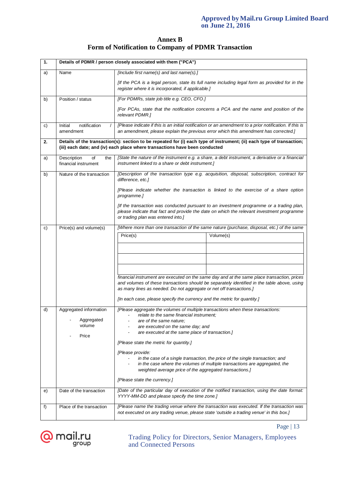# **Annex B Form of Notification to Company of PDMR Transaction**

| 1.            | Details of PDMR / person closely associated with them ("PCA")                                                                                                                                                    |                                                                                                                                                                                                                                                                                                                                                                                                                                                                                                                                                                         |  |  |  |  |  |  |  |
|---------------|------------------------------------------------------------------------------------------------------------------------------------------------------------------------------------------------------------------|-------------------------------------------------------------------------------------------------------------------------------------------------------------------------------------------------------------------------------------------------------------------------------------------------------------------------------------------------------------------------------------------------------------------------------------------------------------------------------------------------------------------------------------------------------------------------|--|--|--|--|--|--|--|
| a)            | Name                                                                                                                                                                                                             | [Include first name(s) and last name(s).]                                                                                                                                                                                                                                                                                                                                                                                                                                                                                                                               |  |  |  |  |  |  |  |
|               |                                                                                                                                                                                                                  | [If the PCA is a legal person, state its full name including legal form as provided for in the<br>register where it is incorporated, if applicable.]                                                                                                                                                                                                                                                                                                                                                                                                                    |  |  |  |  |  |  |  |
| b)            | Position / status                                                                                                                                                                                                | [For PDMRs, state job title e.g. CEO, CFO.]                                                                                                                                                                                                                                                                                                                                                                                                                                                                                                                             |  |  |  |  |  |  |  |
|               |                                                                                                                                                                                                                  | [For PCAs, state that the notification concerns a PCA and the name and position of the<br>relevant PDMR.]                                                                                                                                                                                                                                                                                                                                                                                                                                                               |  |  |  |  |  |  |  |
| c)            | notification<br>Initial<br>amendment                                                                                                                                                                             | [Please indicate if this is an initial notification or an amendment to a prior notification. If this is<br>an amendment, please explain the previous error which this amendment has corrected.]                                                                                                                                                                                                                                                                                                                                                                         |  |  |  |  |  |  |  |
| 2.            | Details of the transaction(s): section to be repeated for (i) each type of instrument; (ii) each type of transaction;<br>(iii) each date; and (iv) each place where transactions have been conducted             |                                                                                                                                                                                                                                                                                                                                                                                                                                                                                                                                                                         |  |  |  |  |  |  |  |
| a)            | Description<br>of<br>the<br>financial instrument                                                                                                                                                                 | [State the nature of the instrument e.g. a share, a debt instrument, a derivative or a financial<br>instrument linked to a share or debt instrument.]                                                                                                                                                                                                                                                                                                                                                                                                                   |  |  |  |  |  |  |  |
| b)            | Nature of the transaction                                                                                                                                                                                        | [Description of the transaction type e.g. acquisition, disposal, subscription, contract for<br>difference, etc.]                                                                                                                                                                                                                                                                                                                                                                                                                                                        |  |  |  |  |  |  |  |
|               |                                                                                                                                                                                                                  | [Please indicate whether the transaction is linked to the exercise of a share option<br>programme.]                                                                                                                                                                                                                                                                                                                                                                                                                                                                     |  |  |  |  |  |  |  |
|               |                                                                                                                                                                                                                  | [If the transaction was conducted pursuant to an investment programme or a trading plan,<br>please indicate that fact and provide the date on which the relevant investment programme<br>or trading plan was entered into.]                                                                                                                                                                                                                                                                                                                                             |  |  |  |  |  |  |  |
| $\mathsf{c})$ | Price(s) and volume(s)                                                                                                                                                                                           | [Where more than one transaction of the same nature (purchase, disposal, etc.) of the same                                                                                                                                                                                                                                                                                                                                                                                                                                                                              |  |  |  |  |  |  |  |
|               |                                                                                                                                                                                                                  | Price(s)<br>Volume(s)                                                                                                                                                                                                                                                                                                                                                                                                                                                                                                                                                   |  |  |  |  |  |  |  |
|               |                                                                                                                                                                                                                  | financial instrument are executed on the same day and at the same place transaction, prices<br>and volumes of these transactions should be separately identified in the table above, using<br>as many lines as needed. Do not aggregate or net off transactions.]<br>[In each case, please specify the currency and the metric for quantity.]                                                                                                                                                                                                                           |  |  |  |  |  |  |  |
| d)            | Aggregated information<br>Aggregated<br>volume<br>Price                                                                                                                                                          | [Please aggregate the volumes of multiple transactions when these transactions:<br>relate to the same financial instrument:<br>are of the same nature;<br>are executed on the same day; and<br>are executed at the same place of transaction.]<br>[Please state the metric for quantity.]<br>[Please provide:<br>in the case of a single transaction, the price of the single transaction; and<br>in the case where the volumes of multiple transactions are aggregated, the<br>weighted average price of the aggregated transactions.]<br>[Please state the currency.] |  |  |  |  |  |  |  |
| e)            | [Date of the particular day of execution of the notified transaction, using the date format:<br>Date of the transaction<br>YYYY-MM-DD and please specify the time zone.]                                         |                                                                                                                                                                                                                                                                                                                                                                                                                                                                                                                                                                         |  |  |  |  |  |  |  |
| f)            | Place of the transaction<br>[Please name the trading venue where the transaction was executed. If the transaction was<br>not executed on any trading venue, please state 'outside a trading venue' in this box.] |                                                                                                                                                                                                                                                                                                                                                                                                                                                                                                                                                                         |  |  |  |  |  |  |  |

Page | 13